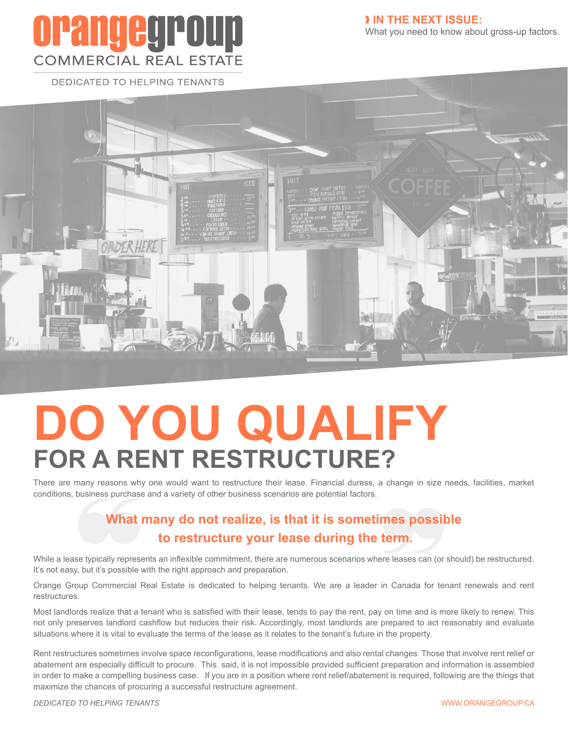## **orangegroup COMMERCIAL REAL ESTATE**

❱ **IN THE NEXT ISSUE:**

What you need to know about gross-up factors.

**DEDICATED TO HELPING TENANTS** 



# **DO YOU QUALIFY FOR A RENT RESTRUCTURE?**

There are many reasons why one would want to restructure their lease. Financial duress, a change in size needs, facilities, market conditions, business purchase and a variety of other business scenarios are potential factors.

#### **What many do not realize, is that it is sometimes possible to restructure your lease during the term.**

While a lease typically represents an inflexible commitment, there are numerous scenarios where leases can (or should) be restructured. It's not easy, but it's possible with the right approach and preparation.

Orange Group Commercial Real Estate is dedicated to helping tenants. We are a leader in Canada for tenant renewals and rent restructures.

Most landlords realize that a tenant who is satisfied with their lease, tends to pay the rent, pay on time and is more likely to renew. This not only preserves landlord cashflow but reduces their risk. Accordingly, most landlords are prepared to act reasonably and evaluate situations where it is vital to evaluate the terms of the lease as it relates to the tenant's future in the property.

Rent restructures sometimes involve space reconfigurations, lease modifications and also rental changes. Those that involve rent relief or abatement are especially difficult to procure. This said, it is not impossible provided sufficient preparation and information is assembled in order to make a compelling business case. If you are in a position where rent relief/abatement is required, following are the things that maximize the chances of procuring a successful restructure agreement.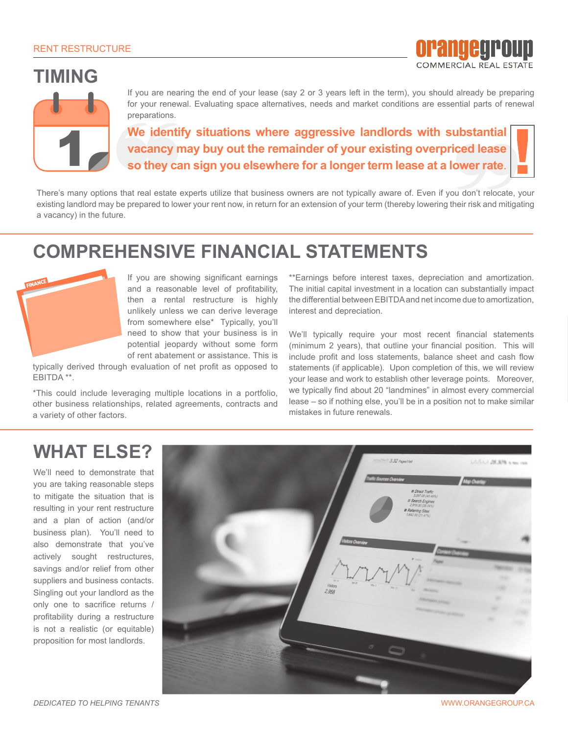#### **TIMING**



If you are nearing the end of your lease (say 2 or 3 years left in the term), you should already be preparing for your renewal. Evaluating space alternatives, needs and market conditions are essential parts of renewal preparations.

**We identify situations where aggressive landlords with substantial vacancy may buy out the remainder of your existing overpriced lease so they can sign you elsewhere for a longer term lease at a lower rate**.

There's many options that real estate experts utilize that business owners are not typically aware of. Even if you don't relocate, your existing landlord may be prepared to lower your rent now, in return for an extension of your term (thereby lowering their risk and mitigating a vacancy) in the future.

#### **COMPREHENSIVE FINANCIAL STATEMENTS**



If you are showing significant earnings and a reasonable level of profitability, then a rental restructure is highly unlikely unless we can derive leverage from somewhere else\* Typically, you'll need to show that your business is in potential jeopardy without some form of rent abatement or assistance. This is

typically derived through evaluation of net profit as opposed to EBITDA \*\*.

\*This could include leveraging multiple locations in a portfolio, other business relationships, related agreements, contracts and a variety of other factors.

\*\*Earnings before interest taxes, depreciation and amortization. The initial capital investment in a location can substantially impact the differential between EBITDA and net income due to amortization, interest and depreciation.

orangegroup **COMMERCIAL REAL ESTATE** 

We'll typically require your most recent financial statements (minimum 2 years), that outline your financial position. This will include profit and loss statements, balance sheet and cash flow statements (if applicable). Upon completion of this, we will review your lease and work to establish other leverage points. Moreover, we typically find about 20 "landmines" in almost every commercial lease – so if nothing else, you'll be in a position not to make similar mistakes in future renewals.

#### **WHAT ELSE?**

We'll need to demonstrate that you are taking reasonable steps to mitigate the situation that is resulting in your rent restructure and a plan of action (and/or business plan). You'll need to also demonstrate that you've actively sought restructures, savings and/or relief from other suppliers and business contacts. Singling out your landlord as the only one to sacrifice returns / profitability during a restructure is not a realistic (or equitable) proposition for most landlords.